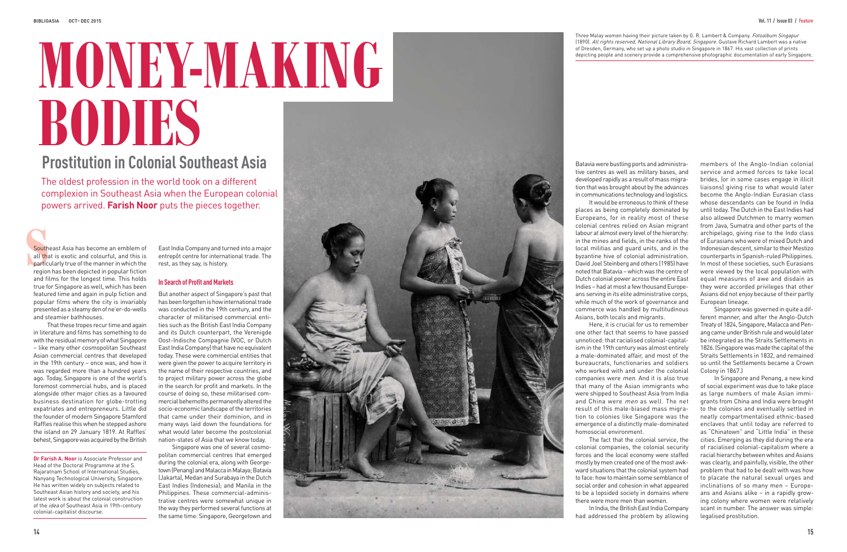## **Prostitution in Colonial Southeast Asia**

The oldest profession in the world took on a different complexion in Southeast Asia when the European colonial powers arrived. **Farish Noor** puts the pieces together.

**Dr Farish A. Noor** is Associate Professor and Head of the Doctoral Programme at the S. Rajaratnam School of International Studies, Nanyang Technological University, Singapore. He has written widely on subjects related to Southeast Asian history and society, and his latest work is about the colonial construction of the *idea* of Southeast Asia in 19th-century colonial-capitalist discourse.

Three Malay women having their picture taken by G. R. Lambert & Company. Fotoalbum Singapur (1890). All rights reserved, National Library Board, Singapore. Gustave Richard Lambert was a native of Dresden, Germany, who set up a photo studio in Singapore in 1867. His vast collection of prints depicting people and scenery provide a comprehensive photographic documentation of early Singapore.

# **MONEY-MAKING BODIES**

pc<br>
south<br>
all the<br>
partic<br>
regior<br>
and fil Southeast Asia has become an emblem of all that is exotic and colourful, and this is **particularly true of the manner in which the** region has been depicted in popular fiction and films for the longest time. This holds true for Singapore as well, which has been featured time and again in pulp fiction and popular films where the city is invariably presented as a steamy den of ne'er-do-wells and steamier bathhouses.

That these tropes recur time and again in literature and films has something to do with the residual memory of what Singapore – like many other cosmopolitan Southeast Asian commercial centres that developed in the 19th century – once was, and how it was regarded more than a hundred years ago. Today, Singapore is one of the world's foremost commercial hubs, and is placed alongside other major cities as a favoured business destination for globe-trotting expatriates and entrepreneurs. Little did the founder of modern Singapore Stamford Raffles realise this when he stepped ashore the island on 29 January 1819. At Raffles' behest, Singapore was acquired by the British

East India Company and turned into a major entrepôt centre for international trade. The rest, as they say, is history.

### **In Search of Profit and Markets**

But another aspect of Singapore's past that has been forgotten is how international trade was conducted in the 19th century, and the character of militarised commercial entities such as the British East India Company and its Dutch counterpart, the Verenigde Oost-Indische Compagnie (VOC, or Dutch East India Company) that have no equivalent today. These were commercial entities that were given the power to acquire territory in the name of their respective countries, and to project military power across the globe in the search for profit and markets. In the course of doing so, these militarised commercial behemoths permanently altered the socio-economic landscape of the territories that came under their dominion, and in many ways laid down the foundations for what would later become the postcolonial nation-states of Asia that we know today.

Singapore was one of several cosmopolitan commercial centres that emerged during the colonial era, along with Georgetown (Penang) and Malacca in Malaya; Batavia (Jakarta), Medan and Surabaya in the Dutch East Indies (Indonesia); and Manila in the Philippines. These commercial-administrative centres were somewhat unique in the way they performed several functions at the same time: Singapore, Georgetown and



Batavia were bustling ports and administrative centres as well as military bases, and developed rapidly as a result of mass migration that was brought about by the advances in communications technology and logistics. It would be erroneous to think of these places as being completely dominated by Europeans, for in reality most of these colonial centres relied on Asian migrant labour at almost every level of the hierarchy: in the mines and fields, in the ranks of the local militias and guard units, and in the byzantine hive of colonial administration. David Joel Steinberg and others (1985) have noted that Batavia – which was the centre of Dutch colonial power across the entire East Indies – had at most a few thousand Europeans serving in its elite administrative corps, while much of the work of governance and commerce was handled by multitudinous Asians, both locals and migrants.

Here, it is crucial for us to remember one other fact that seems to have passed unnoticed: that racialised colonial-capitalism in the 19th century was almost entirely a male-dominated affair, and most of the bureaucrats, functionaries and soldiers who worked with and under the colonial companies were men. And it is also true that many of the Asian immigrants who were shipped to Southeast Asia from India and China were men as well. The net result of this male-biased mass migration to colonies like Singapore was the emergence of a distinctly male-dominated homosocial environment.

The fact that the colonial service, the colonial companies, the colonial security forces and the local economy were staffed mostly by men created one of the most awkward situations that the colonial system had to face: how to maintain some semblance of social order and cohesion in what appeared to be a lopsided society in domains where there were more men than women.

In India, the British East India Company had addressed the problem by allowing

members of the Anglo-Indian colonial service and armed forces to take local brides, (or in some cases engage in illicit liaisons) giving rise to what would later become the Anglo-Indian Eurasian class whose descendants can be found in India until today. The Dutch in the East Indies had also allowed Dutchmen to marry women from Java, Sumatra and other parts of the archipelago, giving rise to the Indo class of Eurasians who were of mixed Dutch and Indonesian descent, similar to their Mestizo counterparts in Spanish-ruled Philippines. In most of these societies, such Eurasians were viewed by the local population with equal measures of awe and disdain as they were accorded privileges that other Asians did not enjoy because of their partly European lineage.

Singapore was governed in quite a different manner, and after the Anglo-Dutch Treaty of 1824, Singapore, Malacca and Penang came under British rule and would later be integrated as the Straits Settlements in 1826. (Singapore was made the capital of the Straits Settlements in 1832, and remained so until the Settlements became a Crown Colony in 1867.)

In Singapore and Penang, a new kind of social experiment was due to take place as large numbers of male Asian immigrants from China and India were brought to the colonies and eventually settled in neatly compartmentalised ethnic-based enclaves that until today are referred to as "Chinatown" and "Little India" in these cities. Emerging as they did during the era of racialised colonial-capitalism where a racial hierarchy between whites and Asians was clearly, and painfully, visible, the other problem that had to be dealt with was how to placate the natural sexual urges and inclinations of so many men – Europeans and Asians alike – in a rapidly growing colony where women were relatively scant in number. The answer was simple: legalised prostitution.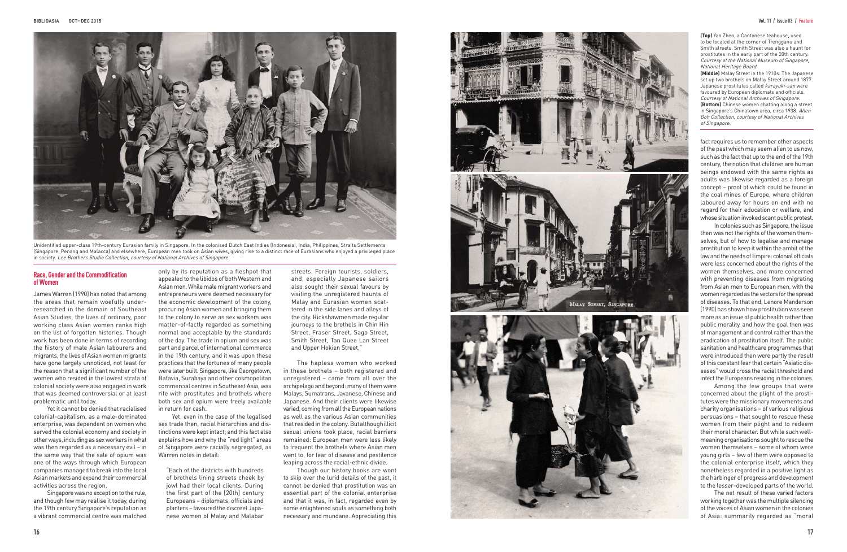

Unidentified upper-class 19th-century Eurasian family in Singapore. In the colonised Dutch East Indies (Indonesia), India, Philippines, Straits Settlements (Singapore, Penang and Malacca) and elsewhere, European men took on Asian wives, giving rise to a distinct race of Eurasians who enjoyed a privileged place in society. Lee Brothers Studio Collection, courtesy of National Archives of Singapore.

**(Top)** Yan Zhen, a Cantonese teahouse, used to be located at the corner of Trengganu and Smith streets. Smith Street was also a haunt for prostitutes in the early part of the 20th century. Courtesy of the National Museum of Singapore, National Heritage Board.

**(Middle)** Malay Street in the 1910s. The Japanese set up two brothels on Malay Street around 1877. Japanese prostitutes called *karayuki-san* were favoured by European diplomats and officials. Courtesy of National Archives of Singapore. **(Bottom)** Chinese women chatting along a street in Singapore's Chinatown area, circa 1938. Allen Goh Collection, courtesy of National Archives of Singapore.

#### **Race, Gender and the Commodification of Women**

James Warren (1990) has noted that among the areas that remain woefully underresearched in the domain of Southeast Asian Studies, the lives of ordinary, poor working class Asian women ranks high on the list of forgotten histories. Though work has been done in terms of recording the history of male Asian labourers and migrants, the lives of Asian women migrants have gone largely unnoticed, not least for the reason that a significant number of the women who resided in the lowest strata of colonial society were also engaged in work that was deemed controversial or at least problematic until today.

Yet it cannot be denied that racialised colonial-capitalism, as a male-dominated enterprise, was dependent on women who served the colonial economy and society in other ways, including as sex workers in what was then regarded as a necessary evil – in the same way that the sale of opium was one of the ways through which European companies managed to break into the local Asian markets and expand their commercial activities across the region.

Singapore was no exception to the rule, and though few may realise it today, during the 19th century Singapore's reputation as a vibrant commercial centre was matched

only by its reputation as a fleshpot that appealed to the libidos of both Western and Asian men. While male migrant workers and entrepreneurs were deemed necessary for the economic development of the colony, procuring Asian women and bringing them to the colony to serve as sex workers was matter-of-factly regarded as something normal and acceptable by the standards of the day. The trade in opium and sex was part and parcel of international commerce in the 19th century, and it was upon these practices that the fortunes of many people were later built. Singapore, like Georgetown, Batavia, Surabaya and other cosmopolitan commercial centres in Southeast Asia, was rife with prostitutes and brothels where both sex and opium were freely available in return for cash.

Yet, even in the case of the legalised sex trade then, racial hierarchies and distinctions were kept intact; and this fact also explains how and why the "red light" areas of Singapore were racially segregated, as Warren notes in detail:

"Each of the districts with hundreds of brothels lining streets cheek by jowl had their local clients. During the first part of the [20th] century Europeans – diplomats, officials and planters – favoured the discreet Japanese women of Malay and Malabar

streets. Foreign tourists, soldiers, and, especially Japanese sailors also sought their sexual favours by visiting the unregistered haunts of Malay and Eurasian women scattered in the side lanes and alleys of the city. Rickshawmen made regular journeys to the brothels in Chin Hin Street, Fraser Street, Sago Street, Smith Street, Tan Quee Lan Street and Upper Hokien Street."

The hapless women who worked in these brothels – both registered and unregistered – came from all over the archipelago and beyond: many of them were Malays, Sumatrans, Javanese, Chinese and Japanese. And their clients were likewise varied, coming from all the European nations as well as the various Asian communities that resided in the colony. But although illicit sexual unions took place, racial barriers remained: European men were less likely to frequent the brothels where Asian men went to, for fear of disease and pestilence leaping across the racial-ethnic divide.

Though our history books are wont to skip over the lurid details of the past, it cannot be denied that prostitution was an essential part of the colonial enterprise and that it was, in fact, regarded even by some enlightened souls as something both necessary and mundane. Appreciating this

fact requires us to remember other aspects of the past which may seem alien to us now, such as the fact that up to the end of the 19th century, the notion that children are human beings endowed with the same rights as adults was likewise regarded as a foreign concept – proof of which could be found in the coal mines of Europe, where children laboured away for hours on end with no regard for their education or welfare, and whose situation invoked scant public protest.

In colonies such as Singapore, the issue then was not the rights of the women themselves, but of how to legalise and manage prostitution to keep it within the ambit of the law and the needs of Empire: colonial officials were less concerned about the rights of the women themselves, and more concerned with preventing diseases from migrating from Asian men to European men, with the women regarded as the vectors for the spread of diseases. To that end, Lenore Manderson (1990) has shown how prostitution was seen more as an issue of public health rather than public morality, and how the goal then was of management and control rather than the eradication of prostitution itself. The public sanitation and healthcare programmes that were introduced then were partly the result of this constant fear that certain "Asiatic diseases" would cross the racial threshold and infect the Europeans residing in the colonies.

Among the few groups that were concerned about the plight of the prostitutes were the missionary movements and charity organisations – of various religious persuasions – that sought to rescue these women from their plight and to redeem their moral character. But while such wellmeaning organisations sought to rescue the women themselves – some of whom were young girls – few of them were opposed to the colonial enterprise itself, which they nonetheless regarded in a positive light as the harbinger of progress and development to the lesser-developed parts of the world.

The net result of these varied factors working together was the multiple silencing of the voices of Asian women in the colonies of Asia: summarily regarded as "moral